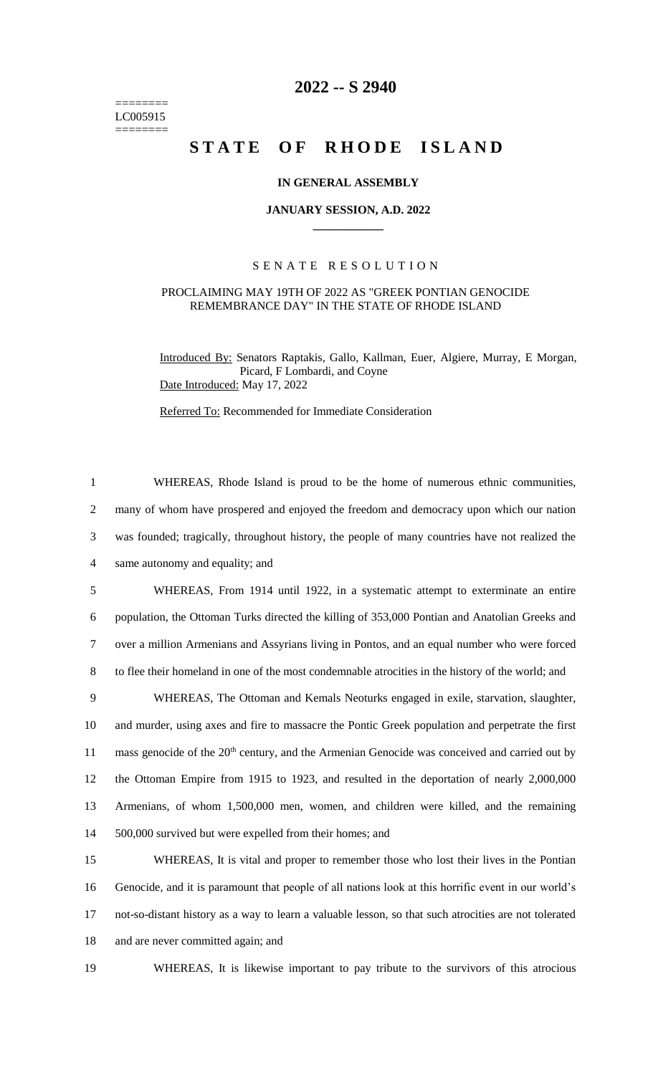======== LC005915 ========

# **2022 -- S 2940**

# STATE OF RHODE ISLAND

## **IN GENERAL ASSEMBLY**

#### **JANUARY SESSION, A.D. 2022 \_\_\_\_\_\_\_\_\_\_\_\_**

## S E N A T E R E S O L U T I O N

#### PROCLAIMING MAY 19TH OF 2022 AS "GREEK PONTIAN GENOCIDE REMEMBRANCE DAY" IN THE STATE OF RHODE ISLAND

Introduced By: Senators Raptakis, Gallo, Kallman, Euer, Algiere, Murray, E Morgan, Picard, F Lombardi, and Coyne Date Introduced: May 17, 2022

Referred To: Recommended for Immediate Consideration

 WHEREAS, Rhode Island is proud to be the home of numerous ethnic communities, many of whom have prospered and enjoyed the freedom and democracy upon which our nation was founded; tragically, throughout history, the people of many countries have not realized the same autonomy and equality; and WHEREAS, From 1914 until 1922, in a systematic attempt to exterminate an entire population, the Ottoman Turks directed the killing of 353,000 Pontian and Anatolian Greeks and over a million Armenians and Assyrians living in Pontos, and an equal number who were forced to flee their homeland in one of the most condemnable atrocities in the history of the world; and WHEREAS, The Ottoman and Kemals Neoturks engaged in exile, starvation, slaughter, and murder, using axes and fire to massacre the Pontic Greek population and perpetrate the first

11 mass genocide of the 20<sup>th</sup> century, and the Armenian Genocide was conceived and carried out by the Ottoman Empire from 1915 to 1923, and resulted in the deportation of nearly 2,000,000 Armenians, of whom 1,500,000 men, women, and children were killed, and the remaining 500,000 survived but were expelled from their homes; and

 WHEREAS, It is vital and proper to remember those who lost their lives in the Pontian Genocide, and it is paramount that people of all nations look at this horrific event in our world's not-so-distant history as a way to learn a valuable lesson, so that such atrocities are not tolerated and are never committed again; and

19 WHEREAS, It is likewise important to pay tribute to the survivors of this atrocious